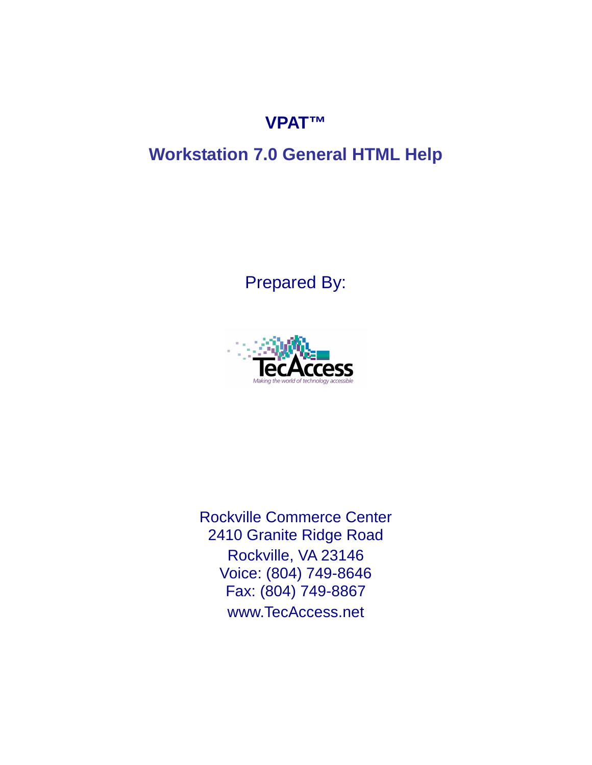# **VPAT™**

# **Workstation 7.0 General HTML Help**

Prepared By:



Rockville Commerce Center 2410 Granite Ridge Road Rockville, VA 23146 Voice: (804) 749-8646 Fax: (804) 749-8867 www.TecAccess.net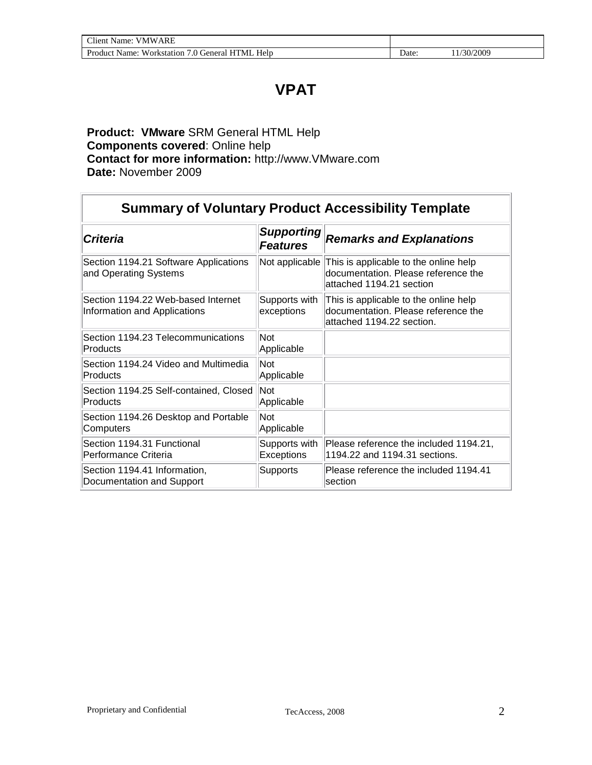## **VPAT**

#### **Product: VMware** SRM General HTML Help **Components covered**: Online help **Contact for more information:** http://www.VMware.com **Date:** November 2009

| <b>Summary of Voluntary Product Accessibility Template</b>         |                                      |                                                                                                           |  |  |
|--------------------------------------------------------------------|--------------------------------------|-----------------------------------------------------------------------------------------------------------|--|--|
| <b>Criteria</b>                                                    | <b>Supporting</b><br><b>Features</b> | <b>Remarks and Explanations</b>                                                                           |  |  |
| Section 1194.21 Software Applications<br>and Operating Systems     | Not applicable                       | This is applicable to the online help<br>documentation. Please reference the<br>attached 1194.21 section  |  |  |
| Section 1194.22 Web-based Internet<br>Information and Applications | Supports with<br>exceptions          | This is applicable to the online help<br>documentation. Please reference the<br>attached 1194.22 section. |  |  |
| Section 1194.23 Telecommunications<br>Products                     | Not<br>Applicable                    |                                                                                                           |  |  |
| Section 1194.24 Video and Multimedia<br>Products                   | Not<br>Applicable                    |                                                                                                           |  |  |
| Section 1194.25 Self-contained, Closed<br>Products                 | Not<br>Applicable                    |                                                                                                           |  |  |
| Section 1194.26 Desktop and Portable<br>Computers                  | Not<br>Applicable                    |                                                                                                           |  |  |
| Section 1194.31 Functional<br><b>Performance Criteria</b>          | Supports with<br>Exceptions          | Please reference the included 1194.21,<br>1194.22 and 1194.31 sections.                                   |  |  |
| Section 1194.41 Information,<br>Documentation and Support          | <b>Supports</b>                      | Please reference the included 1194.41<br>section                                                          |  |  |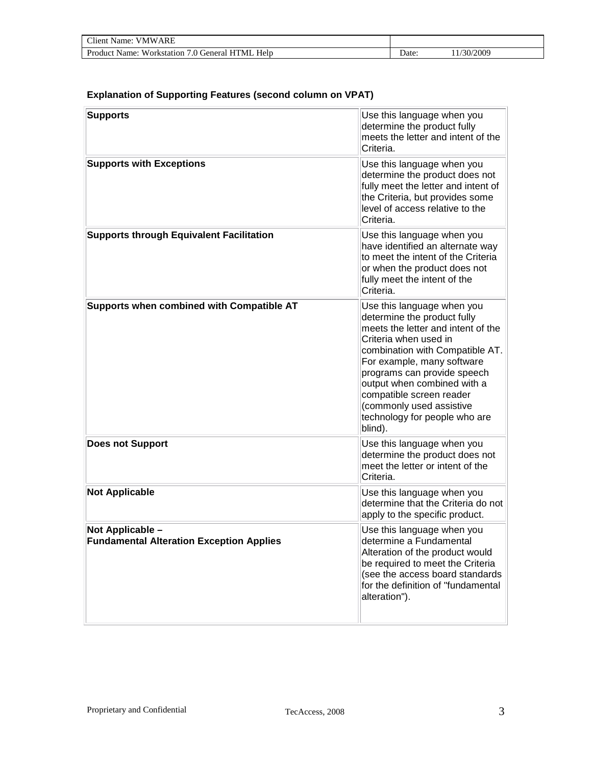| <b>Client Name: VMWARE</b>                      |                   |           |  |
|-------------------------------------------------|-------------------|-----------|--|
| Product Name: Workstation 7.0 General HTML Help | Date <sup>-</sup> | 1/30/2009 |  |

#### **Explanation of Supporting Features (second column on VPAT)**

| <b>Supports</b>                                                     | Use this language when you<br>determine the product fully<br>meets the letter and intent of the<br>Criteria.                                                                                                                                                                                                                                                |
|---------------------------------------------------------------------|-------------------------------------------------------------------------------------------------------------------------------------------------------------------------------------------------------------------------------------------------------------------------------------------------------------------------------------------------------------|
| <b>Supports with Exceptions</b>                                     | Use this language when you<br>determine the product does not<br>fully meet the letter and intent of<br>the Criteria, but provides some<br>level of access relative to the<br>Criteria.                                                                                                                                                                      |
| <b>Supports through Equivalent Facilitation</b>                     | Use this language when you<br>have identified an alternate way<br>to meet the intent of the Criteria<br>or when the product does not<br>fully meet the intent of the<br>Criteria.                                                                                                                                                                           |
| Supports when combined with Compatible AT                           | Use this language when you<br>determine the product fully<br>meets the letter and intent of the<br>Criteria when used in<br>combination with Compatible AT.<br>For example, many software<br>programs can provide speech<br>output when combined with a<br>compatible screen reader<br>(commonly used assistive<br>technology for people who are<br>blind). |
| <b>Does not Support</b>                                             | Use this language when you<br>determine the product does not<br>meet the letter or intent of the<br>Criteria.                                                                                                                                                                                                                                               |
| <b>Not Applicable</b>                                               | Use this language when you<br>determine that the Criteria do not<br>apply to the specific product.                                                                                                                                                                                                                                                          |
| Not Applicable -<br><b>Fundamental Alteration Exception Applies</b> | Use this language when you<br>determine a Fundamental<br>Alteration of the product would<br>be required to meet the Criteria<br>(see the access board standards<br>for the definition of "fundamental<br>alteration").                                                                                                                                      |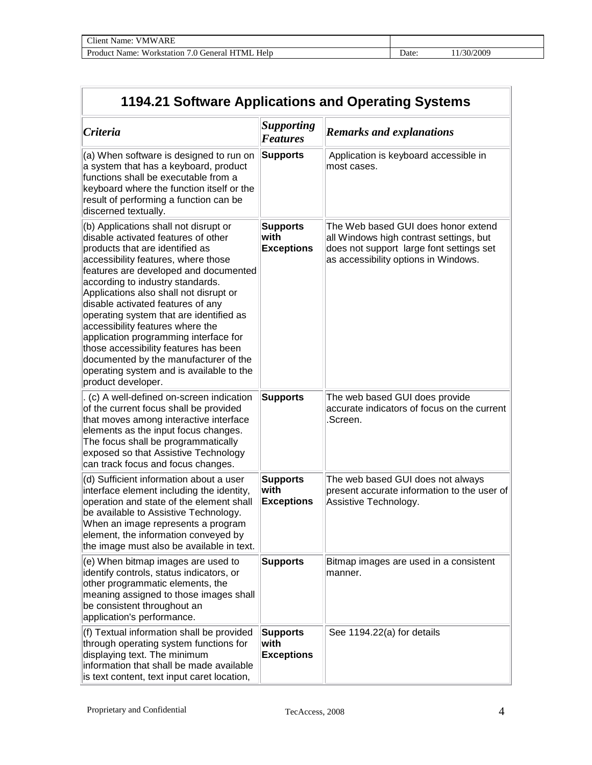| Client Name:<br><b>VMWARE</b>                            |      |                     |
|----------------------------------------------------------|------|---------------------|
| Product Name:<br>Workstation<br>7.0 General HTML<br>Help | Date | /30/2009<br>$\perp$ |

| 1194.21 Software Applications and Operating Systems                                                                                                                                                                                                                                                                                                                                                                                                                                                                                                                                            |                                              |                                                                                                                                                                    |  |
|------------------------------------------------------------------------------------------------------------------------------------------------------------------------------------------------------------------------------------------------------------------------------------------------------------------------------------------------------------------------------------------------------------------------------------------------------------------------------------------------------------------------------------------------------------------------------------------------|----------------------------------------------|--------------------------------------------------------------------------------------------------------------------------------------------------------------------|--|
| Criteria                                                                                                                                                                                                                                                                                                                                                                                                                                                                                                                                                                                       | <b>Supporting</b><br><b>Features</b>         | <b>Remarks and explanations</b>                                                                                                                                    |  |
| (a) When software is designed to run on<br>a system that has a keyboard, product<br>functions shall be executable from a<br>keyboard where the function itself or the<br>result of performing a function can be<br>discerned textually.                                                                                                                                                                                                                                                                                                                                                        | <b>Supports</b>                              | Application is keyboard accessible in<br>most cases.                                                                                                               |  |
| (b) Applications shall not disrupt or<br>disable activated features of other<br>products that are identified as<br>accessibility features, where those<br>features are developed and documented<br>according to industry standards.<br>Applications also shall not disrupt or<br>disable activated features of any<br>operating system that are identified as<br>accessibility features where the<br>application programming interface for<br>those accessibility features has been<br>documented by the manufacturer of the<br>operating system and is available to the<br>product developer. | <b>Supports</b><br>with<br><b>Exceptions</b> | The Web based GUI does honor extend<br>all Windows high contrast settings, but<br>does not support large font settings set<br>as accessibility options in Windows. |  |
| (c) A well-defined on-screen indication<br>of the current focus shall be provided<br>that moves among interactive interface<br>elements as the input focus changes.<br>The focus shall be programmatically<br>exposed so that Assistive Technology<br>can track focus and focus changes.                                                                                                                                                                                                                                                                                                       | <b>Supports</b>                              | The web based GUI does provide<br>accurate indicators of focus on the current<br>Screen.                                                                           |  |
| (d) Sufficient information about a user<br>interface element including the identity,<br>operation and state of the element shall<br>be available to Assistive Technology.<br>When an image represents a program<br>element, the information conveyed by<br>the image must also be available in text.                                                                                                                                                                                                                                                                                           | <b>Supports</b><br>with<br><b>Exceptions</b> | The web based GUI does not always<br>present accurate information to the user of<br>Assistive Technology.                                                          |  |
| (e) When bitmap images are used to<br>identify controls, status indicators, or<br>other programmatic elements, the<br>meaning assigned to those images shall<br>be consistent throughout an<br>application's performance.                                                                                                                                                                                                                                                                                                                                                                      | <b>Supports</b>                              | Bitmap images are used in a consistent<br>manner.                                                                                                                  |  |
| (f) Textual information shall be provided<br>through operating system functions for<br>displaying text. The minimum<br>information that shall be made available<br>is text content, text input caret location,                                                                                                                                                                                                                                                                                                                                                                                 | <b>Supports</b><br>with<br><b>Exceptions</b> | See 1194.22(a) for details                                                                                                                                         |  |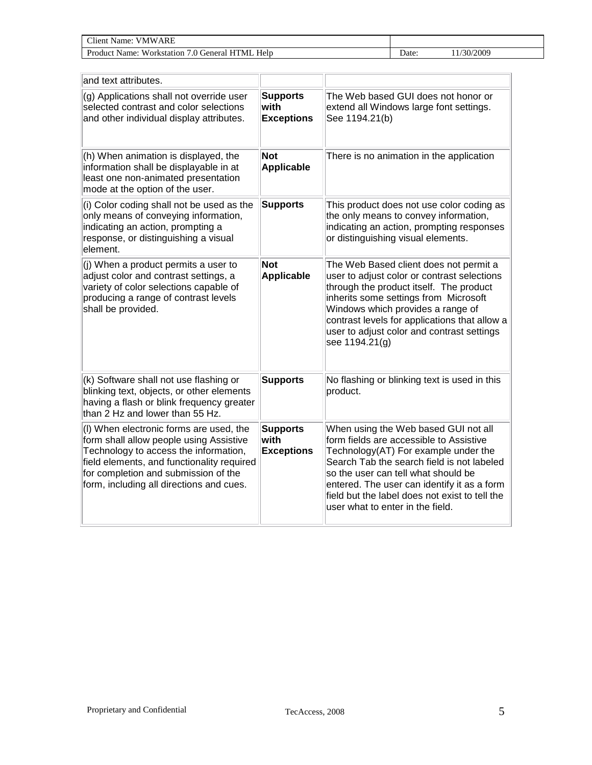| $\gamma$ liem<br>ARF<br>' \\.<br>Name:<br>V N/I                           |       |         |
|---------------------------------------------------------------------------|-------|---------|
| Help<br>Produc.<br>'MI<br>. ieneral<br>Name:<br>/orkstati<br>AA.<br>. ior | ⊅ate: | 30/2009 |

| and text attributes.                                                                                                                                                                                                                                          |                                              |                                                                                                                                                                                                                                                                                                                                                   |
|---------------------------------------------------------------------------------------------------------------------------------------------------------------------------------------------------------------------------------------------------------------|----------------------------------------------|---------------------------------------------------------------------------------------------------------------------------------------------------------------------------------------------------------------------------------------------------------------------------------------------------------------------------------------------------|
| (g) Applications shall not override user<br>selected contrast and color selections<br>and other individual display attributes.                                                                                                                                | <b>Supports</b><br>with<br><b>Exceptions</b> | The Web based GUI does not honor or<br>extend all Windows large font settings.<br>See 1194.21(b)                                                                                                                                                                                                                                                  |
| (h) When animation is displayed, the<br>information shall be displayable in at<br>least one non-animated presentation<br>mode at the option of the user.                                                                                                      | <b>Not</b><br><b>Applicable</b>              | There is no animation in the application                                                                                                                                                                                                                                                                                                          |
| (i) Color coding shall not be used as the<br>only means of conveying information,<br>indicating an action, prompting a<br>response, or distinguishing a visual<br>element.                                                                                    | <b>Supports</b>                              | This product does not use color coding as<br>the only means to convey information,<br>indicating an action, prompting responses<br>or distinguishing visual elements.                                                                                                                                                                             |
| (j) When a product permits a user to<br>adjust color and contrast settings, a<br>variety of color selections capable of<br>producing a range of contrast levels<br>shall be provided.                                                                         | <b>Not</b><br><b>Applicable</b>              | The Web Based client does not permit a<br>user to adjust color or contrast selections<br>through the product itself. The product<br>inherits some settings from Microsoft<br>Windows which provides a range of<br>contrast levels for applications that allow a<br>user to adjust color and contrast settings<br>see 1194.21(g)                   |
| (k) Software shall not use flashing or<br>blinking text, objects, or other elements<br>having a flash or blink frequency greater<br>than 2 Hz and lower than 55 Hz.                                                                                           | <b>Supports</b>                              | No flashing or blinking text is used in this<br>product.                                                                                                                                                                                                                                                                                          |
| (I) When electronic forms are used, the<br>form shall allow people using Assistive<br>Technology to access the information,<br>field elements, and functionality required<br>for completion and submission of the<br>form, including all directions and cues. | <b>Supports</b><br>with<br><b>Exceptions</b> | When using the Web based GUI not all<br>form fields are accessible to Assistive<br>Technology(AT) For example under the<br>Search Tab the search field is not labeled<br>so the user can tell what should be<br>entered. The user can identify it as a form<br>field but the label does not exist to tell the<br>user what to enter in the field. |

 $\overline{1}$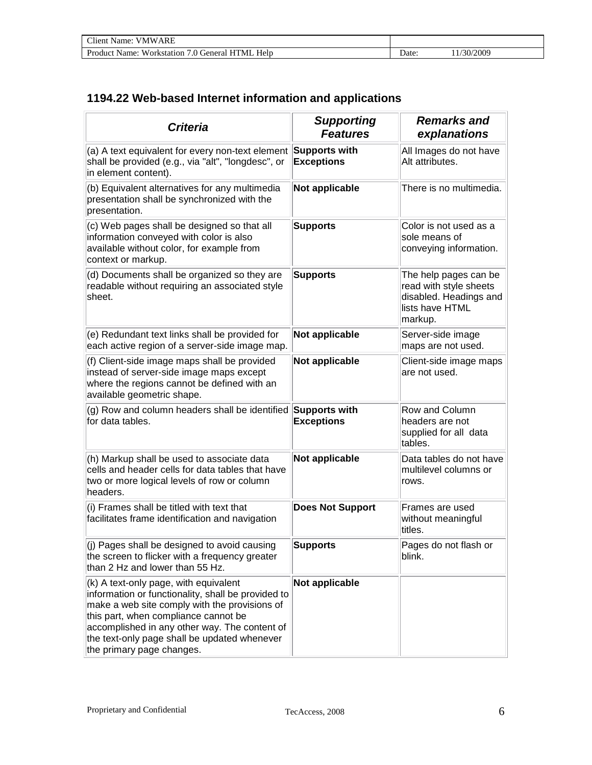| $T$ lient<br><b>VMWARF</b><br>Name:                                |      |         |
|--------------------------------------------------------------------|------|---------|
| Product<br>Help<br>HТ<br>'MI<br>.0 General<br>Workstation<br>Name: | Jate | 30/2009 |

### **1194.22 Web-based Internet information and applications**

| <b>Criteria</b>                                                                                                                                                                                                                                                                                                    | <b>Supporting</b><br><b>Features</b> | <b>Remarks and</b><br>explanations                                                                      |
|--------------------------------------------------------------------------------------------------------------------------------------------------------------------------------------------------------------------------------------------------------------------------------------------------------------------|--------------------------------------|---------------------------------------------------------------------------------------------------------|
| (a) A text equivalent for every non-text element<br>shall be provided (e.g., via "alt", "longdesc", or<br>in element content).                                                                                                                                                                                     | Supports with<br><b>Exceptions</b>   | All Images do not have<br>Alt attributes.                                                               |
| (b) Equivalent alternatives for any multimedia<br>presentation shall be synchronized with the<br>presentation.                                                                                                                                                                                                     | Not applicable                       | There is no multimedia.                                                                                 |
| (c) Web pages shall be designed so that all<br>information conveyed with color is also<br>available without color, for example from<br>context or markup.                                                                                                                                                          | <b>Supports</b>                      | Color is not used as a<br>sole means of<br>conveying information.                                       |
| (d) Documents shall be organized so they are<br>readable without requiring an associated style<br>sheet.                                                                                                                                                                                                           | <b>Supports</b>                      | The help pages can be<br>read with style sheets<br>disabled. Headings and<br>lists have HTML<br>markup. |
| (e) Redundant text links shall be provided for<br>each active region of a server-side image map.                                                                                                                                                                                                                   | Not applicable                       | Server-side image<br>maps are not used.                                                                 |
| (f) Client-side image maps shall be provided<br>instead of server-side image maps except<br>where the regions cannot be defined with an<br>available geometric shape.                                                                                                                                              | Not applicable                       | Client-side image maps<br>are not used.                                                                 |
| (g) Row and column headers shall be identified<br>for data tables.                                                                                                                                                                                                                                                 | Supports with<br><b>Exceptions</b>   | Row and Column<br>headers are not<br>supplied for all data<br>tables.                                   |
| (h) Markup shall be used to associate data<br>cells and header cells for data tables that have<br>two or more logical levels of row or column<br>headers.                                                                                                                                                          | Not applicable                       | Data tables do not have<br>multilevel columns or<br>rows.                                               |
| (i) Frames shall be titled with text that<br>facilitates frame identification and navigation                                                                                                                                                                                                                       | <b>Does Not Support</b>              | Frames are used<br>without meaningful<br>titles.                                                        |
| $ $ (j) Pages shall be designed to avoid causing<br>the screen to flicker with a frequency greater<br>than 2 Hz and lower than 55 Hz.                                                                                                                                                                              | Supports                             | Pages do not flash or<br>blink.                                                                         |
| (k) A text-only page, with equivalent<br>information or functionality, shall be provided to<br>make a web site comply with the provisions of<br>this part, when compliance cannot be<br>accomplished in any other way. The content of<br>the text-only page shall be updated whenever<br>the primary page changes. | Not applicable                       |                                                                                                         |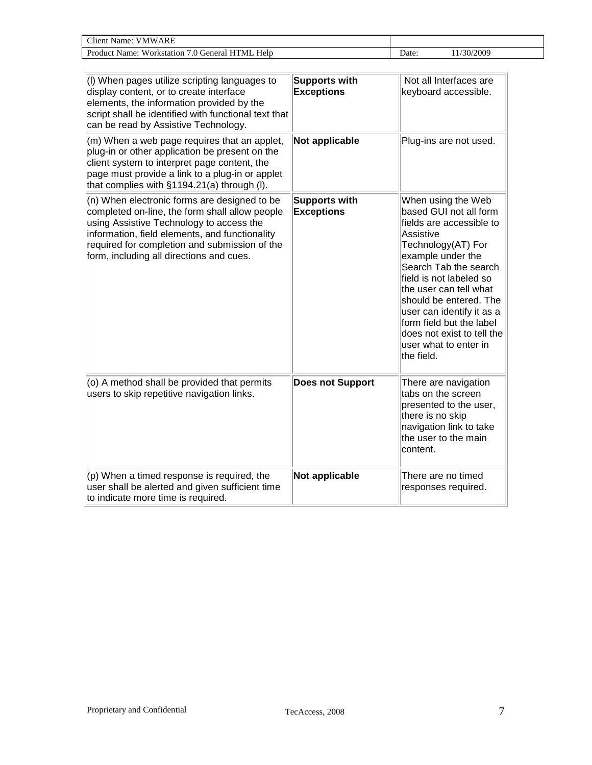| ARF<br>$\sim$<br>'Item<br>.vame.<br>' \\.<br>/ IV/L                        |       |          |
|----------------------------------------------------------------------------|-------|----------|
| Help<br>Produc.<br>'NH<br>Name:<br>u orizetat:<br>ienera<br>A.<br>DГ<br>ıа | ⊃ate: | /30/2009 |

| (I) When pages utilize scripting languages to<br>display content, or to create interface<br>elements, the information provided by the<br>script shall be identified with functional text that<br>can be read by Assistive Technology.                                                     | <b>Supports with</b><br><b>Exceptions</b> | Not all Interfaces are<br>keyboard accessible.                                                                                                                                                                                                                                                                                                                         |
|-------------------------------------------------------------------------------------------------------------------------------------------------------------------------------------------------------------------------------------------------------------------------------------------|-------------------------------------------|------------------------------------------------------------------------------------------------------------------------------------------------------------------------------------------------------------------------------------------------------------------------------------------------------------------------------------------------------------------------|
| (m) When a web page requires that an applet,<br>plug-in or other application be present on the<br>client system to interpret page content, the<br>page must provide a link to a plug-in or applet<br>that complies with §1194.21(a) through (I).                                          | Not applicable                            | Plug-ins are not used.                                                                                                                                                                                                                                                                                                                                                 |
| (n) When electronic forms are designed to be<br>completed on-line, the form shall allow people<br>using Assistive Technology to access the<br>information, field elements, and functionality<br>required for completion and submission of the<br>form, including all directions and cues. | <b>Supports with</b><br><b>Exceptions</b> | When using the Web<br>based GUI not all form<br>fields are accessible to<br>Assistive<br>Technology(AT) For<br>example under the<br>Search Tab the search<br>field is not labeled so<br>the user can tell what<br>should be entered. The<br>user can identify it as a<br>form field but the label<br>does not exist to tell the<br>user what to enter in<br>the field. |
| (o) A method shall be provided that permits<br>users to skip repetitive navigation links.                                                                                                                                                                                                 | <b>Does not Support</b>                   | There are navigation<br>tabs on the screen<br>presented to the user,<br>there is no skip<br>navigation link to take<br>the user to the main<br>content.                                                                                                                                                                                                                |
| $(p)$ When a timed response is required, the<br>user shall be alerted and given sufficient time<br>to indicate more time is required.                                                                                                                                                     | Not applicable                            | There are no timed<br>responses required.                                                                                                                                                                                                                                                                                                                              |

 $\mathbf I$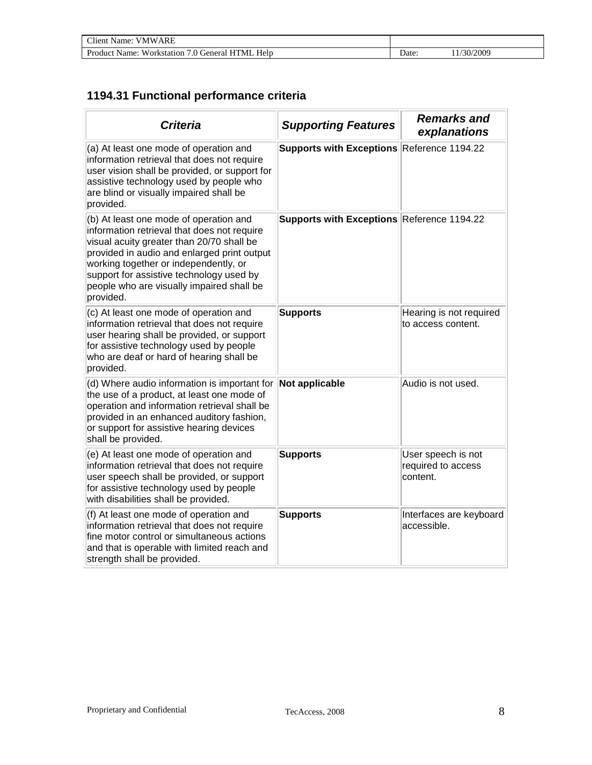| Client<br>ARE<br><b>VMW</b><br>Name:                                   |       |          |
|------------------------------------------------------------------------|-------|----------|
| Product<br>Workstation<br>Help<br><b>HTML</b><br>/ () General<br>Name: | Date: | /30/2009 |

### **1194.31 Functional performance criteria**

| <b>Criteria</b>                                                                                                                                                                                                                                                                                                                  | <b>Supporting Features</b>                 | <b>Remarks and</b><br>explanations                   |
|----------------------------------------------------------------------------------------------------------------------------------------------------------------------------------------------------------------------------------------------------------------------------------------------------------------------------------|--------------------------------------------|------------------------------------------------------|
| (a) At least one mode of operation and<br>information retrieval that does not require<br>user vision shall be provided, or support for<br>assistive technology used by people who<br>are blind or visually impaired shall be<br>provided.                                                                                        | Supports with Exceptions Reference 1194.22 |                                                      |
| (b) At least one mode of operation and<br>information retrieval that does not require<br>visual acuity greater than 20/70 shall be<br>provided in audio and enlarged print output<br>working together or independently, or<br>support for assistive technology used by<br>people who are visually impaired shall be<br>provided. | Supports with Exceptions Reference 1194.22 |                                                      |
| (c) At least one mode of operation and<br>information retrieval that does not require<br>user hearing shall be provided, or support<br>for assistive technology used by people<br>who are deaf or hard of hearing shall be<br>provided.                                                                                          | <b>Supports</b>                            | Hearing is not required<br>to access content.        |
| (d) Where audio information is important for<br>the use of a product, at least one mode of<br>operation and information retrieval shall be<br>provided in an enhanced auditory fashion,<br>or support for assistive hearing devices<br>shall be provided.                                                                        | Not applicable                             | Audio is not used.                                   |
| (e) At least one mode of operation and<br>information retrieval that does not require<br>user speech shall be provided, or support<br>for assistive technology used by people<br>with disabilities shall be provided.                                                                                                            | <b>Supports</b>                            | User speech is not<br>required to access<br>content. |
| (f) At least one mode of operation and<br>information retrieval that does not require<br>fine motor control or simultaneous actions<br>and that is operable with limited reach and<br>strength shall be provided.                                                                                                                | <b>Supports</b>                            | Interfaces are keyboard<br>accessible.               |